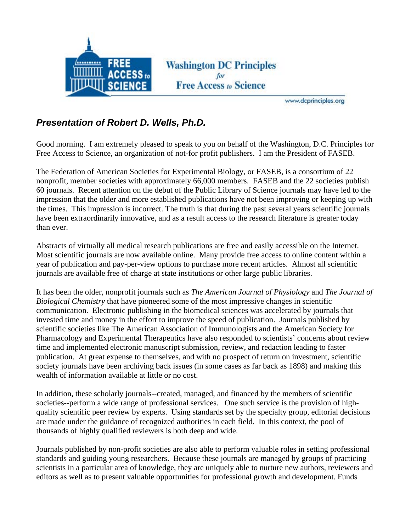

**Washington DC Principles Free Access to Science** 

www.dcprinciples.org

## *Presentation of Robert D. Wells, Ph.D.*

Good morning. I am extremely pleased to speak to you on behalf of the Washington, D.C. Principles for Free Access to Science, an organization of not-for profit publishers. I am the President of FASEB.

The Federation of American Societies for Experimental Biology, or FASEB, is a consortium of 22 nonprofit, member societies with approximately 66,000 members. FASEB and the 22 societies publish 60 journals. Recent attention on the debut of the Public Library of Science journals may have led to the impression that the older and more established publications have not been improving or keeping up with the times. This impression is incorrect. The truth is that during the past several years scientific journals have been extraordinarily innovative, and as a result access to the research literature is greater today than ever.

Abstracts of virtually all medical research publications are free and easily accessible on the Internet. Most scientific journals are now available online. Many provide free access to online content within a year of publication and pay-per-view options to purchase more recent articles. Almost all scientific journals are available free of charge at state institutions or other large public libraries.

It has been the older, nonprofit journals such as *The American Journal of Physiology* and *The Journal of Biological Chemistry* that have pioneered some of the most impressive changes in scientific communication. Electronic publishing in the biomedical sciences was accelerated by journals that invested time and money in the effort to improve the speed of publication. Journals published by scientific societies like The American Association of Immunologists and the American Society for Pharmacology and Experimental Therapeutics have also responded to scientists' concerns about review time and implemented electronic manuscript submission, review, and redaction leading to faster publication. At great expense to themselves, and with no prospect of return on investment, scientific society journals have been archiving back issues (in some cases as far back as 1898) and making this wealth of information available at little or no cost.

In addition, these scholarly journals--created, managed, and financed by the members of scientific societies--perform a wide range of professional services. One such service is the provision of highquality scientific peer review by experts. Using standards set by the specialty group, editorial decisions are made under the guidance of recognized authorities in each field. In this context, the pool of thousands of highly qualified reviewers is both deep and wide.

Journals published by non-profit societies are also able to perform valuable roles in setting professional standards and guiding young researchers. Because these journals are managed by groups of practicing scientists in a particular area of knowledge, they are uniquely able to nurture new authors, reviewers and editors as well as to present valuable opportunities for professional growth and development. Funds